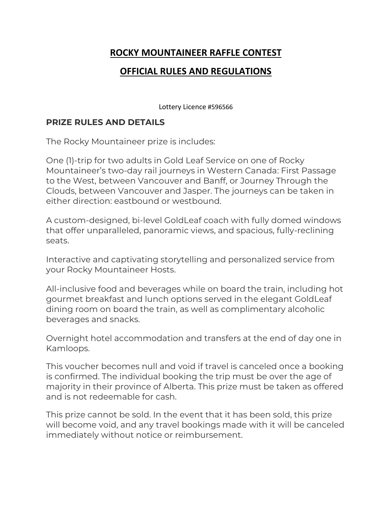## **ROCKY MOUNTAINEER RAFFLE CONTEST**

## **OFFICIAL RULES AND REGULATIONS**

Lottery Licence #596566

## **PRIZE RULES AND DETAILS**

The Rocky Mountaineer prize is includes:

One (1)-trip for two adults in Gold Leaf Service on one of Rocky Mountaineer's two-day rail journeys in Western Canada: First Passage to the West, between Vancouver and Banff, or Journey Through the Clouds, between Vancouver and Jasper. The journeys can be taken in either direction: eastbound or westbound.

A custom-designed, bi-level GoldLeaf coach with fully domed windows that offer unparalleled, panoramic views, and spacious, fully-reclining seats.

Interactive and captivating storytelling and personalized service from your Rocky Mountaineer Hosts.

All-inclusive food and beverages while on board the train, including hot gourmet breakfast and lunch options served in the elegant GoldLeaf dining room on board the train, as well as complimentary alcoholic beverages and snacks.

Overnight hotel accommodation and transfers at the end of day one in Kamloops.

This voucher becomes null and void if travel is canceled once a booking is confirmed. The individual booking the trip must be over the age of majority in their province of Alberta. This prize must be taken as offered and is not redeemable for cash.

This prize cannot be sold. In the event that it has been sold, this prize will become void, and any travel bookings made with it will be canceled immediately without notice or reimbursement.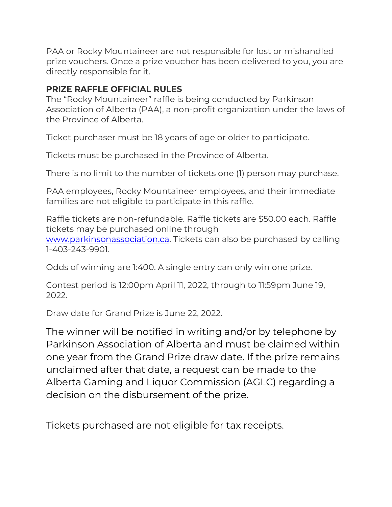PAA or Rocky Mountaineer are not responsible for lost or mishandled prize vouchers. Once a prize voucher has been delivered to you, you are directly responsible for it.

## **PRIZE RAFFLE OFFICIAL RULES**

The "Rocky Mountaineer" raffle is being conducted by Parkinson Association of Alberta (PAA), a non-profit organization under the laws of the Province of Alberta.

Ticket purchaser must be 18 years of age or older to participate.

Tickets must be purchased in the Province of Alberta.

There is no limit to the number of tickets one (1) person may purchase.

PAA employees, Rocky Mountaineer employees, and their immediate families are not eligible to participate in this raffle.

Raffle tickets are non-refundable. Raffle tickets are \$50.00 each. Raffle tickets may be purchased online through [www.parkinsonassociation.ca.](http://www.parkinsonassociation.ca/) Tickets can also be purchased by calling 1-403-243-9901.

Odds of winning are 1:400. A single entry can only win one prize.

Contest period is 12:00pm April 11, 2022, through to 11:59pm June 19, 2022.

Draw date for Grand Prize is June 22, 2022.

The winner will be notified in writing and/or by telephone by Parkinson Association of Alberta and must be claimed within one year from the Grand Prize draw date. If the prize remains unclaimed after that date, a request can be made to the Alberta Gaming and Liquor Commission (AGLC) regarding a decision on the disbursement of the prize.

Tickets purchased are not eligible for tax receipts.